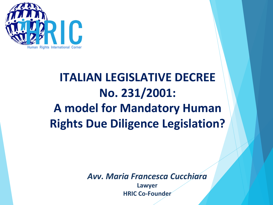

## **ITALIAN LEGISLATIVE DECREE No. 231/2001: A** model for Mandatory Human **Rights Due Diligence Legislation?**

*Avv. Maria Francesca Cucchiara*

**Lawyer HRIC Co-Founder**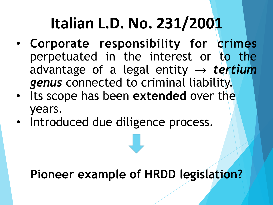# **Italian L.D. No. 231/2001**

- **Corporate responsibility for crimes**  perpetuated in the interest or to the advantage of a legal entity  $\rightarrow$  *tertium genus* connected to criminal liability.
- Its scope has been **extended** over the years.
- Introduced due diligence process.

## **Pioneer example of HRDD legislation?**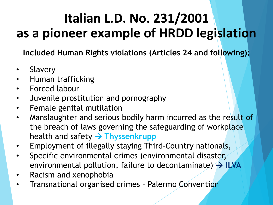# **Italian L.D. No. 231/2001 as a pioneer example of HRDD legislation**

**Included Human Rights violations (Articles 24 and following):** 

- **Slavery**
- Human trafficking
- Forced labour
- Juvenile prostitution and pornography
- Female genital mutilation
- Manslaughter and serious bodily harm incurred as the result of the breach of laws governing the safeguarding of workplace health and safety  $\rightarrow$  Thyssenkrupp
- Employment of illegally staying Third-Country nationals,
- Specific environmental crimes (environmental disaster, environmental pollution, failure to decontaminate)  $\rightarrow$  ILVA
- Racism and xenophobia
- Transnational organised crimes Palermo Convention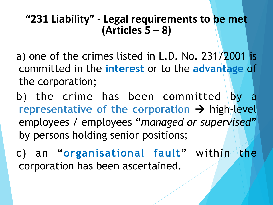#### "231 Liability" - Legal requirements to be met **(Articles 5 – 8)**

a) one of the crimes listed in L.D. No. 231/2001 is committed in the **interest** or to the **advantage** of the corporation;

b) the crime has been committed by **representative of the corporation → high-level** employees / employees "*managed or supervised*" by persons holding senior positions;

c) an "**organisational fault**" within the corporation has been ascertained.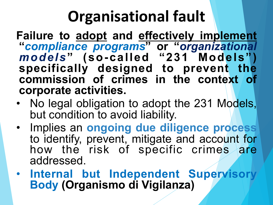# **Organisational fault**

- **Failure to adopt and effectively implement "***compliance programs***" or "***organizational models***" (so-called "231 Models") specifically designed to prevent the commission of crimes in the context of corporate activities.**
- No legal obligation to adopt the 231 Models, but condition to avoid liability.
- Implies an **ongoing due diligence process**  to identify, prevent, mitigate and account for how the risk of specific crimes are addressed.
- **Internal but Independent Supervisory Body (Organismo di Vigilanza)**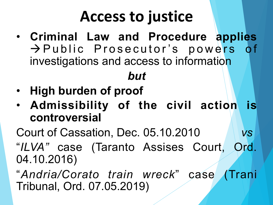# Access to justice

• **Criminal Law and Procedure applies**   $\rightarrow$  P u b lic P rosecutor's powers of investigations and access to information

### *but*

- **High burden of proof**
- **Admissibility of the civil action is controversial**

Court of Cassation, Dec. 05.10.2010 *vs* "*ILVA"* case (Taranto Assises Court, Ord. 04.10.2016)

"*Andria/Corato train wreck*" case (Trani Tribunal, Ord. 07.05.2019)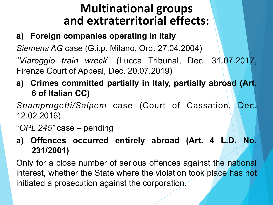### **Multinational groups and extraterritorial effects:**

#### **a) Foreign companies operating in Italy**

*Siemens AG* case (G.i.p. Milano, Ord. 27.04.2004)

"*Viareggio train wreck*" (Lucca Tribunal, Dec. 31.07.2017, Firenze Court of Appeal, Dec. 20.07.2019)

**a) Crimes committed partially in Italy, partially abroad (Art. 6 of Italian CC)** 

*Snamprogetti/Saipem* case (Court of Cassation, Dec. 12.02.2016)

"*OPL 245"* case – pending

**a) Offences occurred entirely abroad (Art. 4 L.D. No. 231/2001)** 

Only for a close number of serious offences against the national interest, whether the State where the violation took place has not initiated a prosecution against the corporation.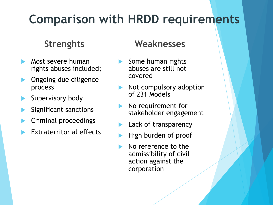## **Comparison with HRDD requirements**

#### **Strenghts**

- Most severe human rights abuses included;
- Ongoing due diligence process
- Supervisory body
- Significant sanctions
- Criminal proceedings
- Extraterritorial effects

#### **Weaknesses**

- $\blacktriangleright$  Some human rights abuses are still not covered
- $\blacktriangleright$  Not compulsory adoption of 231 Models
- No requirement for stakeholder engagement
- Lack of transparency
- High burden of proof
- No reference to the admissibility of civil action against the corporation